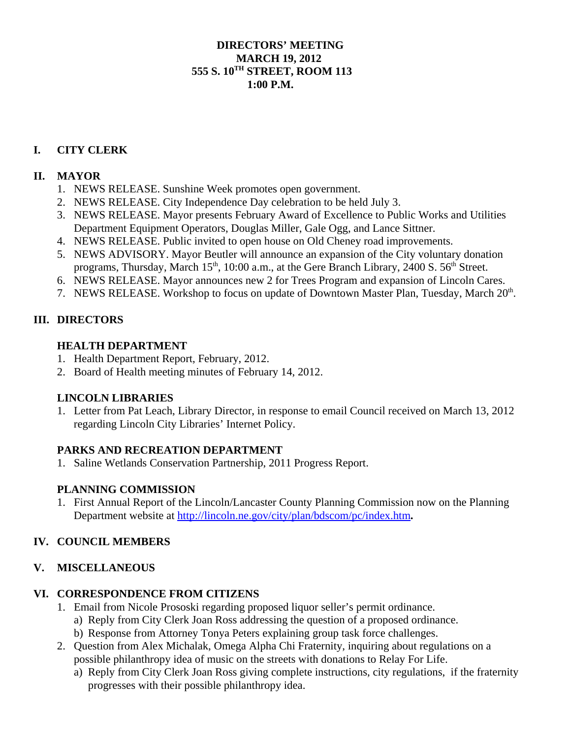## **DIRECTORS' MEETING MARCH 19, 2012 555 S. 10TH STREET, ROOM 113**  $1:00 \text{ P M}$

# **I. CITY CLERK**

### **II. MAYOR**

- 1. NEWS RELEASE. Sunshine Week promotes open government.
- 2. NEWS RELEASE. City Independence Day celebration to be held July 3.
- 3. NEWS RELEASE. Mayor presents February Award of Excellence to Public Works and Utilities Department Equipment Operators, Douglas Miller, Gale Ogg, and Lance Sittner.
- 4. NEWS RELEASE. Public invited to open house on Old Cheney road improvements.
- 5. NEWS ADVISORY. Mayor Beutler will announce an expansion of the City voluntary donation programs, Thursday, March  $15<sup>th</sup>$ , 10:00 a.m., at the Gere Branch Library, 2400 S.  $56<sup>th</sup>$  Street.
- 6. NEWS RELEASE. Mayor announces new 2 for Trees Program and expansion of Lincoln Cares.
- 7. NEWS RELEASE. Workshop to focus on update of Downtown Master Plan, Tuesday, March 20<sup>th</sup>.

### **III. DIRECTORS**

### **HEALTH DEPARTMENT**

- 1. Health Department Report, February, 2012.
- 2. Board of Health meeting minutes of February 14, 2012.

#### **LINCOLN LIBRARIES**

1. Letter from Pat Leach, Library Director, in response to email Council received on March 13, 2012 regarding Lincoln City Libraries' Internet Policy.

#### **PARKS AND RECREATION DEPARTMENT**

1. Saline Wetlands Conservation Partnership, 2011 Progress Report.

## **PLANNING COMMISSION**

1. First Annual Report of the Lincoln/Lancaster County Planning Commission now on the Planning Department website at http://lincoln.ne.gov/city/plan/bdscom/pc/index.htm**.**

#### **IV. COUNCIL MEMBERS**

#### **V. MISCELLANEOUS**

#### **VI. CORRESPONDENCE FROM CITIZENS**

- 1. Email from Nicole Prososki regarding proposed liquor seller's permit ordinance.
	- a) Reply from City Clerk Joan Ross addressing the question of a proposed ordinance.
	- b) Response from Attorney Tonya Peters explaining group task force challenges.
- 2. Question from Alex Michalak, Omega Alpha Chi Fraternity, inquiring about regulations on a possible philanthropy idea of music on the streets with donations to Relay For Life.
	- a) Reply from City Clerk Joan Ross giving complete instructions, city regulations, if the fraternity progresses with their possible philanthropy idea.